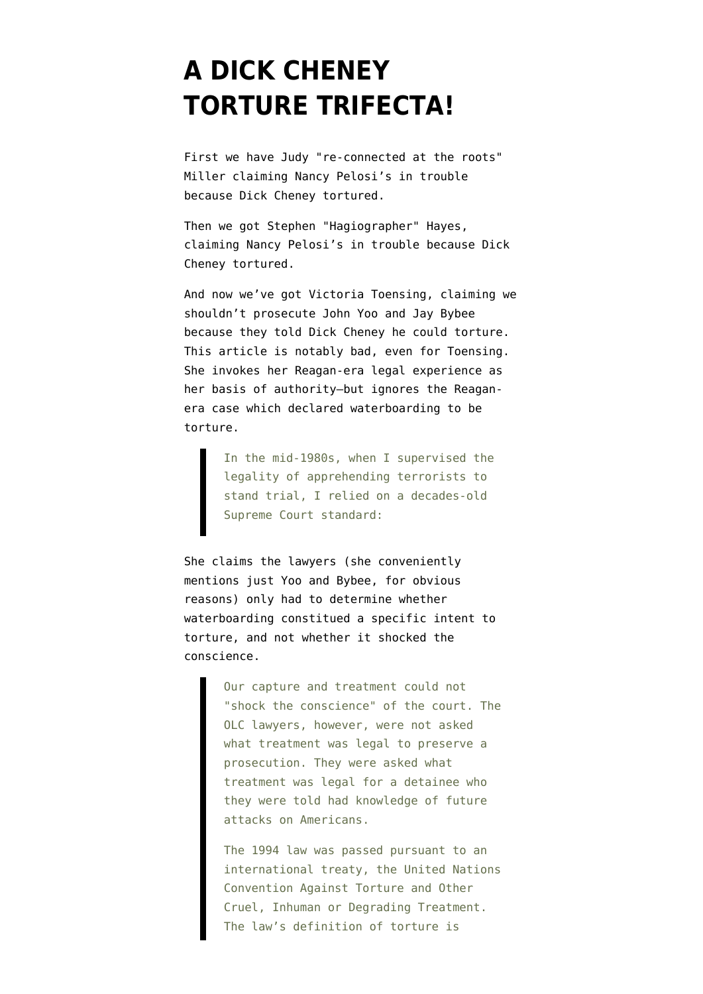## **[A DICK CHENEY](https://www.emptywheel.net/2009/05/17/a-dick-cheney-torture-trifecta/) [TORTURE TRIFECTA!](https://www.emptywheel.net/2009/05/17/a-dick-cheney-torture-trifecta/)**

First we have Judy ["re-connected at the roots](http://emptywheel.firedoglake.com/2009/04/22/spotted-aspen-trees-turning-on-roots/)" Miller [claiming](http://mediamatters.org/clips/200905150027) Nancy Pelosi's in trouble because Dick Cheney tortured.

Then we got Stephen "Hagiographer" Hayes, [claiming](http://mediamatters.org/clips/200905150040) Nancy Pelosi's in trouble because Dick Cheney tortured.

And now we've got Victoria Toensing, [claiming](http://online.wsj.com/article/SB124243020964825531.html) we shouldn't prosecute John Yoo and Jay Bybee because they told Dick Cheney he could torture. This article is notably bad, even for Toensing. She invokes her Reagan-era legal experience as her basis of authority–but ignores the Reaganera case which declared waterboarding to be torture.

> In the mid-1980s, when I supervised the legality of apprehending terrorists to stand trial, I relied on a decades-old Supreme Court standard:

She claims the lawyers (she conveniently mentions just Yoo and Bybee, for obvious reasons) only had to determine whether waterboarding constitued a specific intent to torture, and not whether it shocked the conscience.

> Our capture and treatment could not "shock the conscience" of the court. The OLC lawyers, however, were not asked what treatment was legal to preserve a prosecution. They were asked what treatment was legal for a detainee who they were told had knowledge of future attacks on Americans.

> The 1994 law was passed pursuant to an international treaty, the United Nations Convention Against Torture and Other Cruel, Inhuman or Degrading Treatment. The law's definition of torture is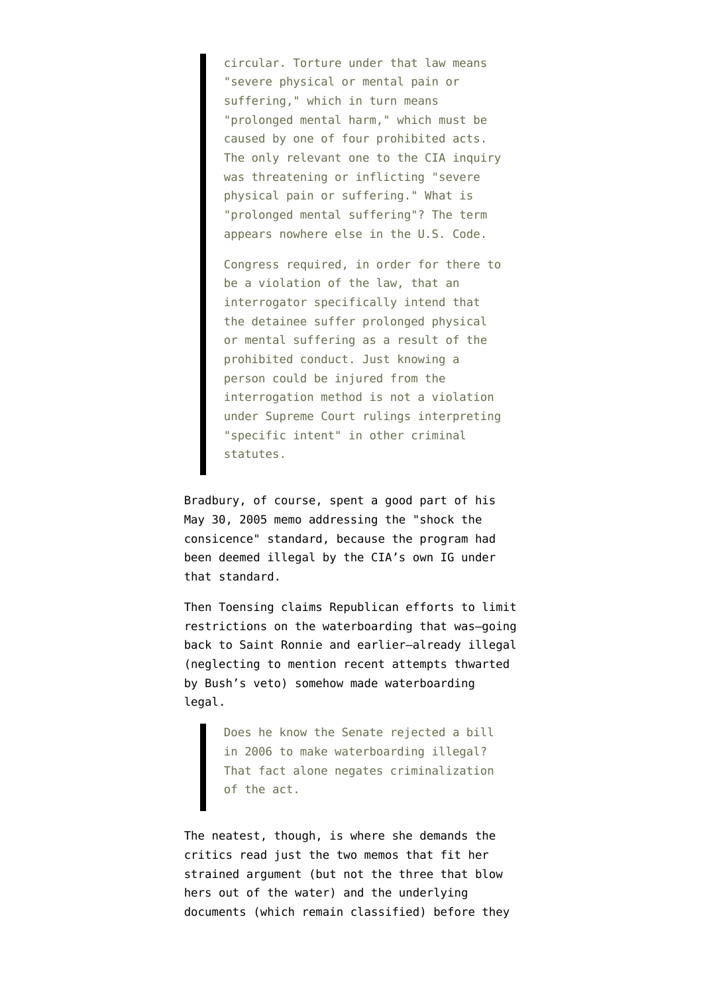circular. Torture under that law means "severe physical or mental pain or suffering," which in turn means "prolonged mental harm," which must be caused by one of four prohibited acts. The only relevant one to the CIA inquiry was threatening or inflicting "severe physical pain or suffering." What is "prolonged mental suffering"? The term appears nowhere else in the U.S. Code.

Congress required, in order for there to be a violation of the law, that an interrogator specifically intend that the detainee suffer prolonged physical or mental suffering as a result of the prohibited conduct. Just knowing a person could be injured from the interrogation method is not a violation under Supreme Court rulings interpreting "specific intent" in other criminal statutes.

Bradbury, of course, spent a good part of his May 30, 2005 memo addressing the "shock the consicence" standard, because the program had been deemed illegal by the CIA's own IG under that standard.

Then Toensing claims Republican efforts to limit restrictions on the waterboarding that was–going back to Saint Ronnie and earlier–already illegal (neglecting to mention recent attempts thwarted by Bush's veto) somehow made waterboarding legal.

> Does he know the Senate rejected a bill in 2006 to make waterboarding illegal? That fact alone negates criminalization of the act.

The neatest, though, is where she demands the critics read just the two memos that fit her strained argument (but not the three that blow hers out of the water) and the underlying documents (which remain classified) before they